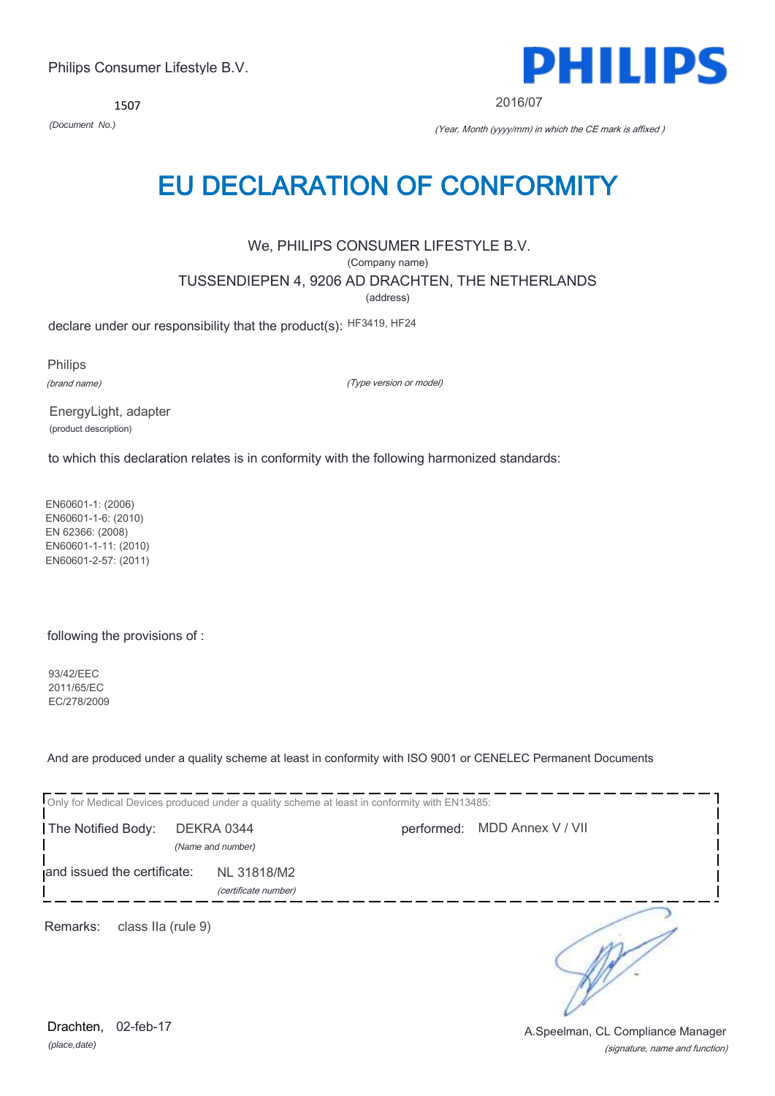1507



2016/07

*(Document No.)* (Year, Month (yyyy/mm) in which the CE mark is affixed )

## EU DECLARATION OF CONFORMITY

We, PHILIPS CONSUMER LIFESTYLE B.V.

(Company name)

TUSSENDIEPEN 4, 9206 AD DRACHTEN, THE NETHERLANDS

(address)

declare under our responsibility that the product(s): HF3419, HF24

Philips

(brand name)

(Type version or model)

EnergyLight, adapter (product description)

to which this declaration relates is in conformity with the following harmonized standards:

EN60601-1: (2006) EN60601-1-6: (2010) EN 62366: (2008) EN60601-1-11: (2010) EN60601-2-57: (2011)

following the provisions of :

93/42/EEC 2011/65/EC EC/278/2009

And are produced under a quality scheme at least in conformity with ISO 9001 or CENELEC Permanent Documents

|                                |                                     | Only for Medical Devices produced under a quality scheme at least in conformity with EN13485: |                              |  |
|--------------------------------|-------------------------------------|-----------------------------------------------------------------------------------------------|------------------------------|--|
| The Notified Body:             | DEKRA 0344<br>(Name and number)     |                                                                                               | performed: MDD Annex V / VII |  |
| and issued the certificate:    | NL 31818/M2<br>(certificate number) |                                                                                               |                              |  |
| Remarks:<br>class IIa (rule 9) |                                     |                                                                                               |                              |  |

NY.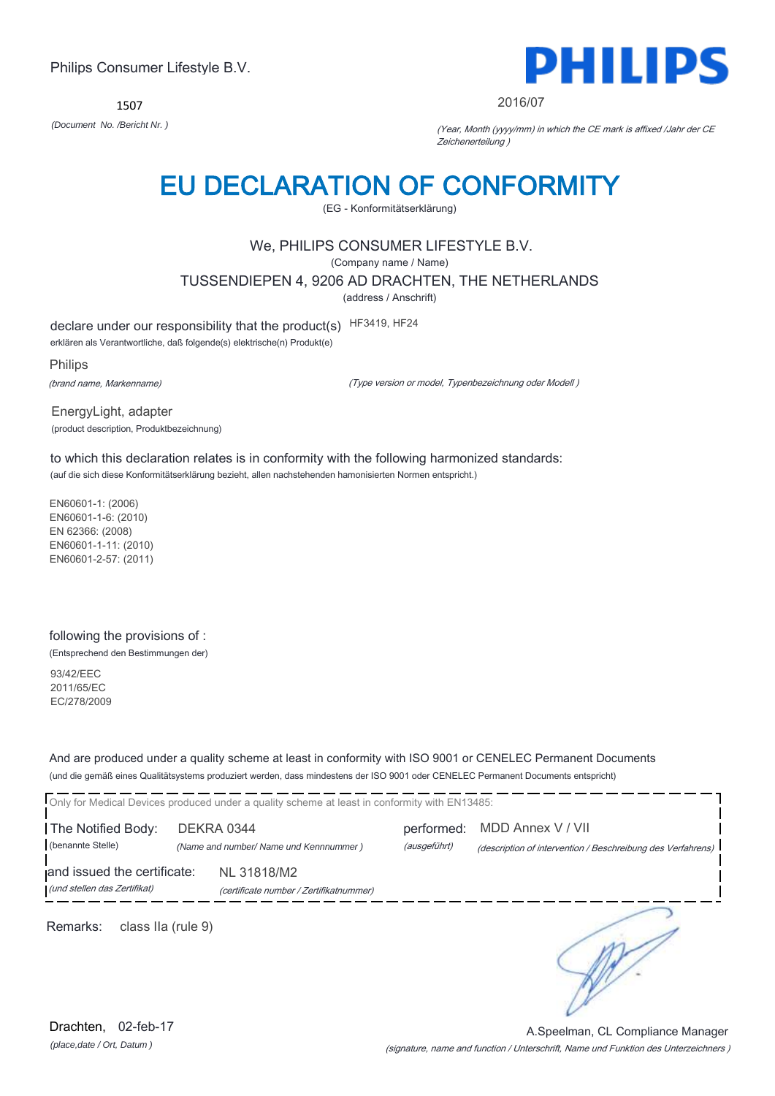1507



#### 2016/07

*(Document No. /Bericht Nr. )* (Year, Month (yyyy/mm) in which the CE mark is affixed /Jahr der CE Zeichenerteilung )

## EU DECLARATION OF CONFORMITY

(EG - Konformitätserklärung)

### We, PHILIPS CONSUMER LIFESTYLE B.V.

(Company name / Name)

TUSSENDIEPEN 4, 9206 AD DRACHTEN, THE NETHERLANDS

(address / Anschrift)

declare under our responsibility that the product(s) HF3419, HF24

erklären als Verantwortliche, daß folgende(s) elektrische(n) Produkt(e)

Philips (brand name, Markenname)

(Type version or model, Typenbezeichnung oder Modell )

EnergyLight, adapter (product description, Produktbezeichnung)

to which this declaration relates is in conformity with the following harmonized standards: (auf die sich diese Konformitätserklärung bezieht, allen nachstehenden hamonisierten Normen entspricht.)

EN60601-1: (2006) EN60601-1-6: (2010) EN 62366: (2008) EN60601-1-11: (2010) EN60601-2-57: (2011)

## following the provisions of :

(Entsprechend den Bestimmungen der)

93/42/EEC 2011/65/EC EC/278/2009

And are produced under a quality scheme at least in conformity with ISO 9001 or CENELEC Permanent Documents (und die gemäß eines Qualitätsystems produziert werden, dass mindestens der ISO 9001 oder CENELEC Permanent Documents entspricht)

|                                                             | Only for Medical Devices produced under a quality scheme at least in conformity with EN13485: |  |                                                                                  |
|-------------------------------------------------------------|-----------------------------------------------------------------------------------------------|--|----------------------------------------------------------------------------------|
| The Notified Body:<br>(benannte Stelle)                     | DEKRA 0344<br>(Name and number/ Name und Kennnummer)                                          |  | MDD Annex V / VII<br>(description of intervention / Beschreibung des Verfahrens) |
| and issued the certificate:<br>(und stellen das Zertifikat) | NL 31818/M2<br>(certificate number / Zertifikatnummer)                                        |  |                                                                                  |
| Remarks:<br>class IIa (rule 9)                              |                                                                                               |  |                                                                                  |

(signature, name and function / Unterschrift, Name und Funktion des Unterzeichners ) A.Speelman, CL Compliance Manager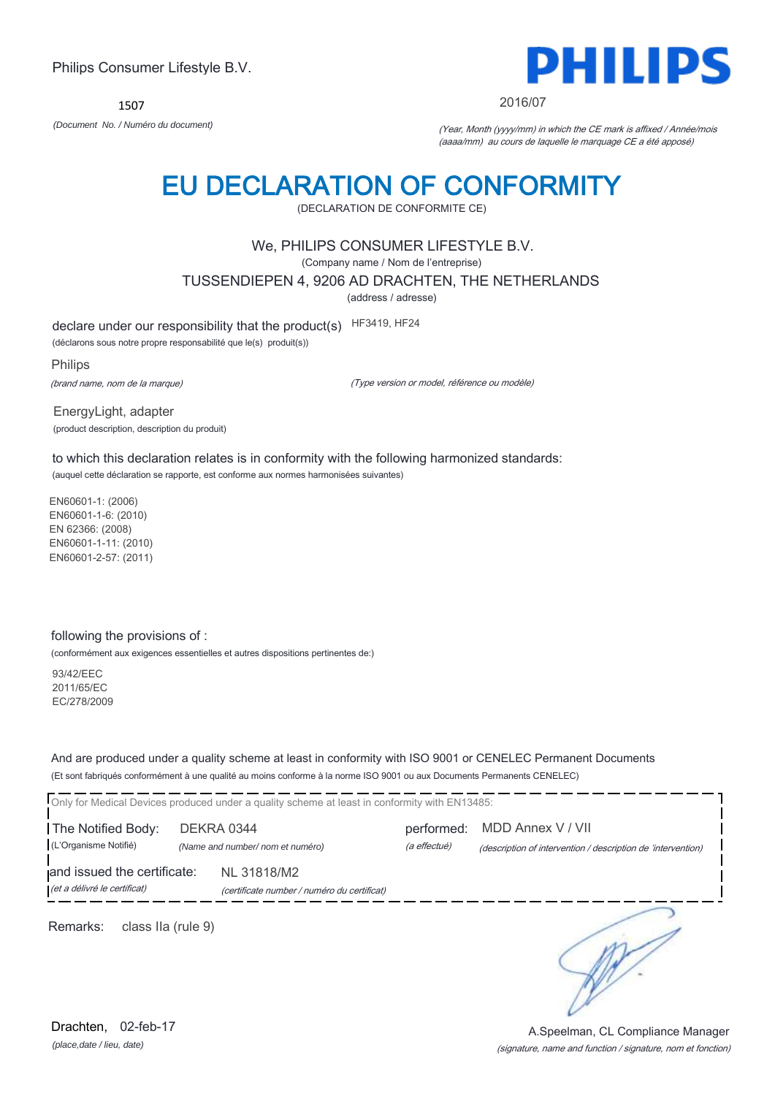1507



2016/07

*(Document No. / Numéro du document)* (Year, Month (yyyy/mm) in which the CE mark is affixed / Année/mois (aaaa/mm) au cours de laquelle le marquage CE a été apposé)

## EU DECLARATION OF CONFORMITY

(DECLARATION DE CONFORMITE CE)

### We, PHILIPS CONSUMER LIFESTYLE B.V.

(Company name / Nom de l'entreprise)

TUSSENDIEPEN 4, 9206 AD DRACHTEN, THE NETHERLANDS

(address / adresse)

declare under our responsibility that the product(s) HF3419, HF24

(déclarons sous notre propre responsabilité que le(s) produit(s))

Philips (brand name, nom de la marque)

(Type version or model, référence ou modèle)

EnergyLight, adapter (product description, description du produit)

to which this declaration relates is in conformity with the following harmonized standards: (auquel cette déclaration se rapporte, est conforme aux normes harmonisées suivantes)

EN60601-1: (2006) EN60601-1-6: (2010) EN 62366: (2008) EN60601-1-11: (2010) EN60601-2-57: (2011)

#### following the provisions of :

(conformément aux exigences essentielles et autres dispositions pertinentes de:)

93/42/EEC 2011/65/EC EC/278/2009

And are produced under a quality scheme at least in conformity with ISO 9001 or CENELEC Permanent Documents (Et sont fabriqués conformément à une qualité au moins conforme à la norme ISO 9001 ou aux Documents Permanents CENELEC)

|                                                             | Only for Medical Devices produced under a quality scheme at least in conformity with EN13485: |                            |                                                                                   |
|-------------------------------------------------------------|-----------------------------------------------------------------------------------------------|----------------------------|-----------------------------------------------------------------------------------|
| The Notified Body:<br>(L'Organisme Notifié)                 | DEKRA 0344<br>(Name and number/ nom et numéro)                                                | performed:<br>(a effectué) | MDD Annex V / VII<br>(description of intervention / description de 'intervention) |
| and issued the certificate:<br>(et a délivré le certificat) | NL 31818/M2<br>(certificate number / numéro du certificat)                                    |                            |                                                                                   |
| Remarks:<br>class IIa (rule 9)                              |                                                                                               |                            |                                                                                   |

*(place,date / lieu, date)* Drachten. 02-feb-17

#### (signature, name and function / signature, nom et fonction) A.Speelman, CL Compliance Manager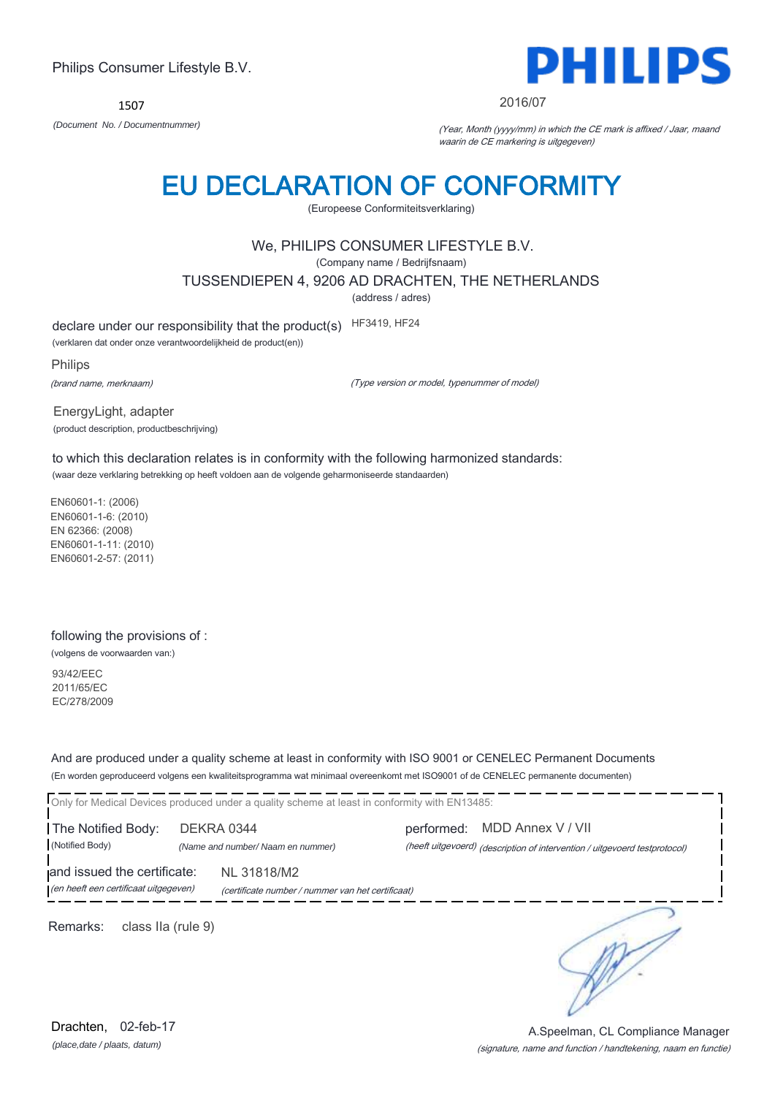1507



#### 2016/07

*(Document No. / Documentnummer)* (Year, Month (yyyy/mm) in which the CE mark is affixed / Jaar, maand waarin de CE markering is uitgegeven)

## EU DECLARATION OF CONFORMITY

(Europeese Conformiteitsverklaring)

### We, PHILIPS CONSUMER LIFESTYLE B.V.

(Company name / Bedrijfsnaam)

TUSSENDIEPEN 4, 9206 AD DRACHTEN, THE NETHERLANDS

(address / adres)

declare under our responsibility that the product(s) HF3419, HF24

(verklaren dat onder onze verantwoordelijkheid de product(en))

Philips

(brand name, merknaam)

(Type version or model, typenummer of model)

EnergyLight, adapter (product description, productbeschrijving)

to which this declaration relates is in conformity with the following harmonized standards: (waar deze verklaring betrekking op heeft voldoen aan de volgende geharmoniseerde standaarden)

EN60601-1: (2006) EN60601-1-6: (2010) EN 62366: (2008) EN60601-1-11: (2010) EN60601-2-57: (2011)

#### following the provisions of :

(volgens de voorwaarden van:)

93/42/EEC 2011/65/EC EC/278/2009

And are produced under a quality scheme at least in conformity with ISO 9001 or CENELEC Permanent Documents (En worden geproduceerd volgens een kwaliteitsprogramma wat minimaal overeenkomt met ISO9001 of de CENELEC permanente documenten)

Only for Medical Devices produced under a quality scheme at least in conformity with EN13485: The Notified Body: DEKRA 0344 performed: MDD Annex V / VII (Notified Body) *(Name and number/ Naam en nummer)* (heeft uitgevoerd) (description of intervention / uitgevoerd testprotocol) and issued the certificate: NL 31818/M2 (en heeft een certificaat uitgegeven) (certificate number / nummer van het certificaat) ∍ Remarks: class IIa (rule 9)

*(place,date / plaats, datum)* Drachten, 02-feb-17

#### (signature, name and function / handtekening, naam en functie) A.Speelman, CL Compliance Manager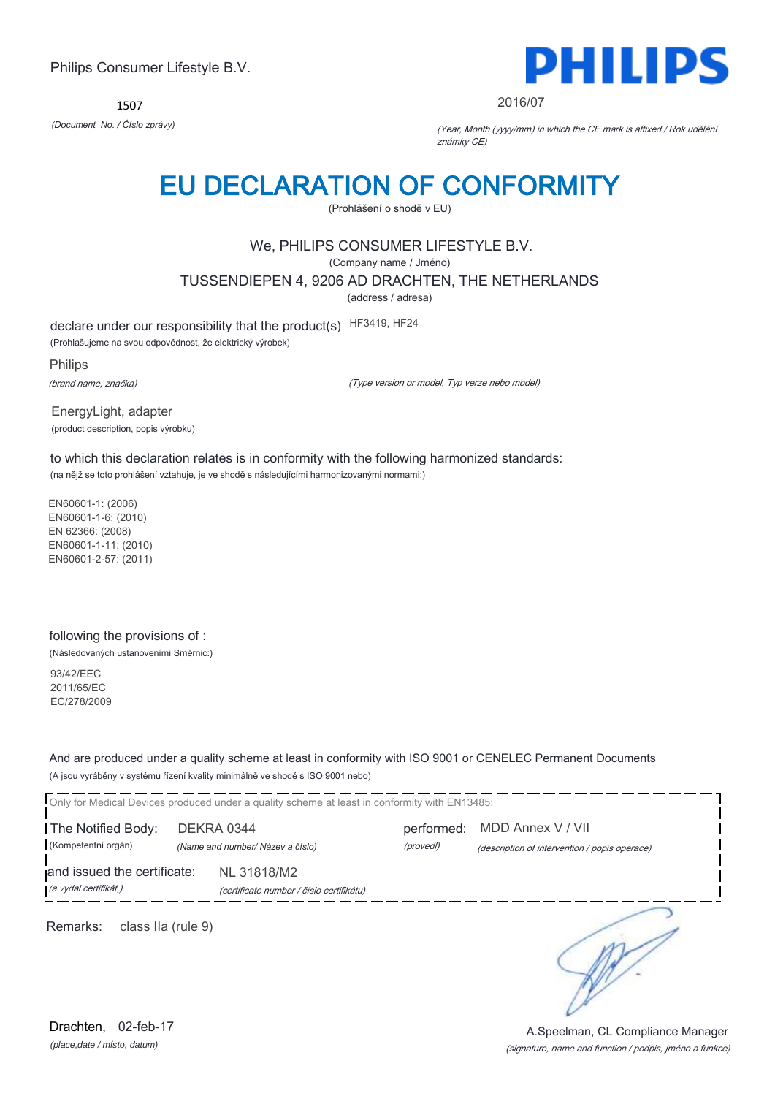1507



#### 2016/07

*(Document No. / Číslo zprávy)* (Year, Month (yyyy/mm) in which the CE mark is affixed / Rok udělění známky CE)

## EU DECLARATION OF CONFORMITY

(Prohlášení o shodě v EU)

## We, PHILIPS CONSUMER LIFESTYLE B.V.

(Company name / Jméno)

TUSSENDIEPEN 4, 9206 AD DRACHTEN, THE NETHERLANDS

(address / adresa)

declare under our responsibility that the product(s) HF3419, HF24

(Prohlašujeme na svou odpovědnost, že elektrický výrobek)

Philips

(brand name, značka)

(Type version or model, Typ verze nebo model)

EnergyLight, adapter (product description, popis výrobku)

to which this declaration relates is in conformity with the following harmonized standards: (na nějž se toto prohlášení vztahuje, je ve shodě s následujícími harmonizovanými normami:)

EN60601-1: (2006) EN60601-1-6: (2010) EN 62366: (2008) EN60601-1-11: (2010) EN60601-2-57: (2011)

#### following the provisions of :

(Následovaných ustanoveními Směrnic:)

93/42/EEC 2011/65/EC EC/278/2009

And are produced under a quality scheme at least in conformity with ISO 9001 or CENELEC Permanent Documents (A jsou vyráběny v systému řízení kvality minimálně ve shodě s ISO 9001 nebo)

Only for Medical Devices produced under a quality scheme at least in conformity with EN13485: The Notified Body: DEKRA 0344 performed: MDD Annex V / VII (Kompetentní orgán) *(Name and number/ Název a číslo)* (provedl) (description of intervention / popis operace) and issued the certificate: NL 31818/M2 (a vydal certifikát,) (certificate number / číslo certifikátu) ∍ Remarks: class IIa (rule 9)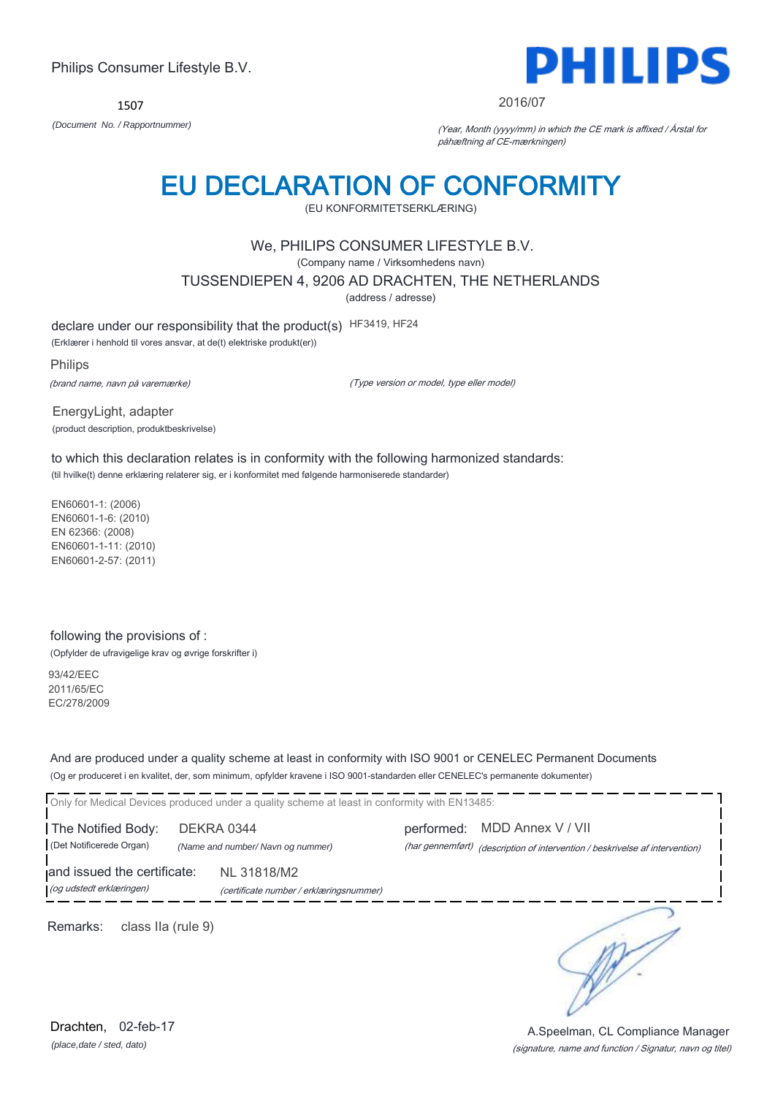1507



#### 2016/07

*(Document No. / Rapportnummer)* (Year, Month (yyyy/mm) in which the CE mark is affixed / Årstal for påhæftning af CE-mærkningen)

## EU DECLARATION OF CONFORMITY

(EU KONFORMITETSERKLÆRING)

### We, PHILIPS CONSUMER LIFESTYLE B.V.

(Company name / Virksomhedens navn)

TUSSENDIEPEN 4, 9206 AD DRACHTEN, THE NETHERLANDS

(address / adresse)

declare under our responsibility that the product(s) HF3419, HF24

(Erklærer i henhold til vores ansvar, at de(t) elektriske produkt(er))

Philips (brand name, navn på varemærke)

(Type version or model, type eller model)

EnergyLight, adapter (product description, produktbeskrivelse)

to which this declaration relates is in conformity with the following harmonized standards: (til hvilke(t) denne erklæring relaterer sig, er i konformitet med følgende harmoniserede standarder)

EN60601-1: (2006) EN60601-1-6: (2010) EN 62366: (2008) EN60601-1-11: (2010) EN60601-2-57: (2011)

#### following the provisions of :

(Opfylder de ufravigelige krav og øvrige forskrifter i)

93/42/EEC 2011/65/EC EC/278/2009

And are produced under a quality scheme at least in conformity with ISO 9001 or CENELEC Permanent Documents (Og er produceret i en kvalitet, der, som minimum, opfylder kravene i ISO 9001-standarden eller CENELEC's permanente dokumenter)

Only for Medical Devices produced under a quality scheme at least in conformity with EN13485:

The Notified Body: DEKRA 0344 performed: MDD Annex V / VII

(Det Notificerede Organ) *(Name and number/ Navn og nummer)* (har gennemført) (description of intervention / beskrivelse af intervention)

and issued the certificate: NL 31818/M2 (og udstedt erklæringen) (certificate number / erklæringsnummer)

Remarks: class IIa (rule 9)

∍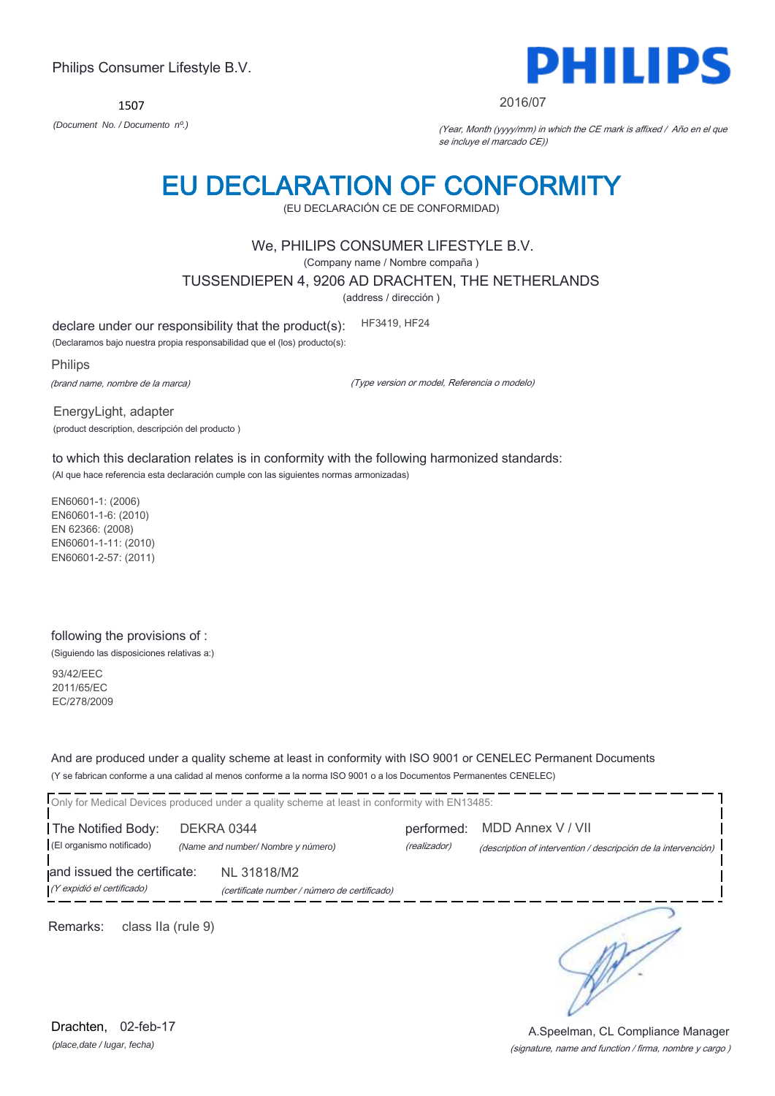1507



#### 2016/07

*(Document No. / Documento nº.)* (Year, Month (yyyy/mm) in which the CE mark is affixed / Año en el que se incluye el marcado CE))

## EU DECLARATION OF CONFORMITY

(EU DECLARACIÓN CE DE CONFORMIDAD)

### We, PHILIPS CONSUMER LIFESTYLE B.V.

(Company name / Nombre compaña )

TUSSENDIEPEN 4, 9206 AD DRACHTEN, THE NETHERLANDS

(address / dirección )

declare under our responsibility that the product(s): HF3419, HF24

(Declaramos bajo nuestra propia responsabilidad que el (los) producto(s):

Philips

(brand name, nombre de la marca)

(Type version or model, Referencia o modelo)

EnergyLight, adapter (product description, descripción del producto )

to which this declaration relates is in conformity with the following harmonized standards: (Al que hace referencia esta declaración cumple con las siguientes normas armonizadas)

EN60601-1: (2006) EN60601-1-6: (2010) EN 62366: (2008) EN60601-1-11: (2010) EN60601-2-57: (2011)

### following the provisions of :

(Siguiendo las disposiciones relativas a:)

93/42/EEC 2011/65/EC EC/278/2009

And are produced under a quality scheme at least in conformity with ISO 9001 or CENELEC Permanent Documents (Y se fabrican conforme a una calidad al menos conforme a la norma ISO 9001 o a los Documentos Permanentes CENELEC)

|                             |                                    | Only for Medical Devices produced under a quality scheme at least in conformity with EN13485: |              |                                                                |
|-----------------------------|------------------------------------|-----------------------------------------------------------------------------------------------|--------------|----------------------------------------------------------------|
| The Notified Body:          |                                    | DEKRA 0344                                                                                    |              | performed: MDD Annex V / VII                                   |
| (El organismo notificado)   | (Name and number/ Nombre y número) |                                                                                               | (realizador) | (description of intervention / descripción de la intervención) |
| and issued the certificate: |                                    | NL 31818/M2                                                                                   |              |                                                                |
| (Y expidió el certificado)  |                                    | (certificate number / número de certificado)                                                  |              |                                                                |
|                             |                                    |                                                                                               |              |                                                                |

Remarks: class IIa (rule 9)

*(place,date / lugar, fecha)* Drachten, 02-feb-17

#### (signature, name and function / firma, nombre y cargo ) A.Speelman, CL Compliance Manager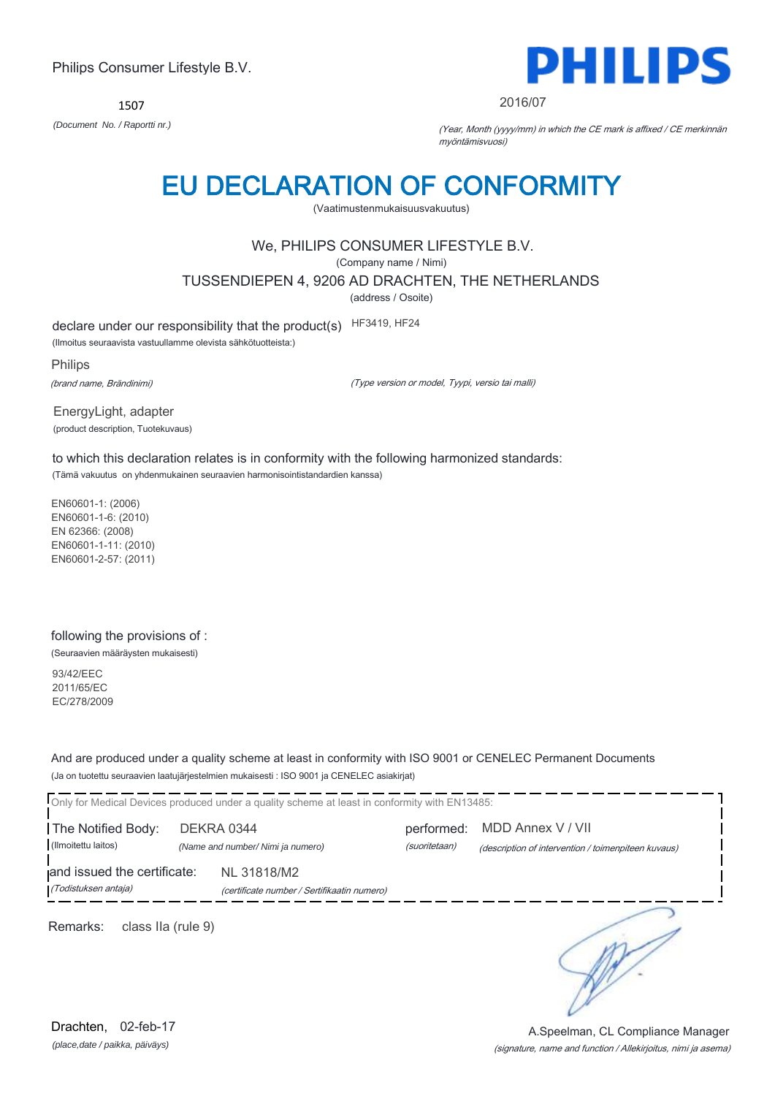1507



2016/07

*(Document No. / Raportti nr.)* (Year, Month (yyyy/mm) in which the CE mark is affixed / CE merkinnän myöntämisvuosi)

## EU DECLARATION OF CONFORMITY

(Vaatimustenmukaisuusvakuutus)

## We, PHILIPS CONSUMER LIFESTYLE B.V.

(Company name / Nimi)

TUSSENDIEPEN 4, 9206 AD DRACHTEN, THE NETHERLANDS

(address / Osoite)

declare under our responsibility that the product(s) HF3419, HF24

(Ilmoitus seuraavista vastuullamme olevista sähkötuotteista:)

Philips (brand name, Brändinimi)

(Type version or model, Tyypi, versio tai malli)

EnergyLight, adapter (product description, Tuotekuvaus)

to which this declaration relates is in conformity with the following harmonized standards: (Tämä vakuutus on yhdenmukainen seuraavien harmonisointistandardien kanssa)

EN60601-1: (2006) EN60601-1-6: (2010) EN 62366: (2008) EN60601-1-11: (2010) EN60601-2-57: (2011)

### following the provisions of :

(Seuraavien määräysten mukaisesti)

93/42/EEC 2011/65/EC EC/278/2009

And are produced under a quality scheme at least in conformity with ISO 9001 or CENELEC Permanent Documents (Ja on tuotettu seuraavien laatujärjestelmien mukaisesti : ISO 9001 ja CENELEC asiakirjat)

| Only for Medical Devices produced under a quality scheme at least in conformity with EN13485: |  |                                                            |                             |                                                                          |  |  |  |
|-----------------------------------------------------------------------------------------------|--|------------------------------------------------------------|-----------------------------|--------------------------------------------------------------------------|--|--|--|
| The Notified Body:<br>DEKRA 0344<br>(Ilmoitettu laitos)<br>(Name and number/ Nimi ja numero)  |  |                                                            | performed:<br>(suoritetaan) | MDD Annex V / VII<br>(description of intervention / toimenpiteen kuvaus) |  |  |  |
| and issued the certificate:<br>(Todistuksen antaja)                                           |  | NL 31818/M2<br>(certificate number / Sertifikaatin numero) |                             |                                                                          |  |  |  |
| Remarks:<br>class IIa (rule 9)                                                                |  |                                                            |                             |                                                                          |  |  |  |

*(place,date / paikka, päiväys)* Drachten, 02-feb-17

#### (signature, name and function / Allekirjoitus, nimi ja asema) A.Speelman, CL Compliance Manager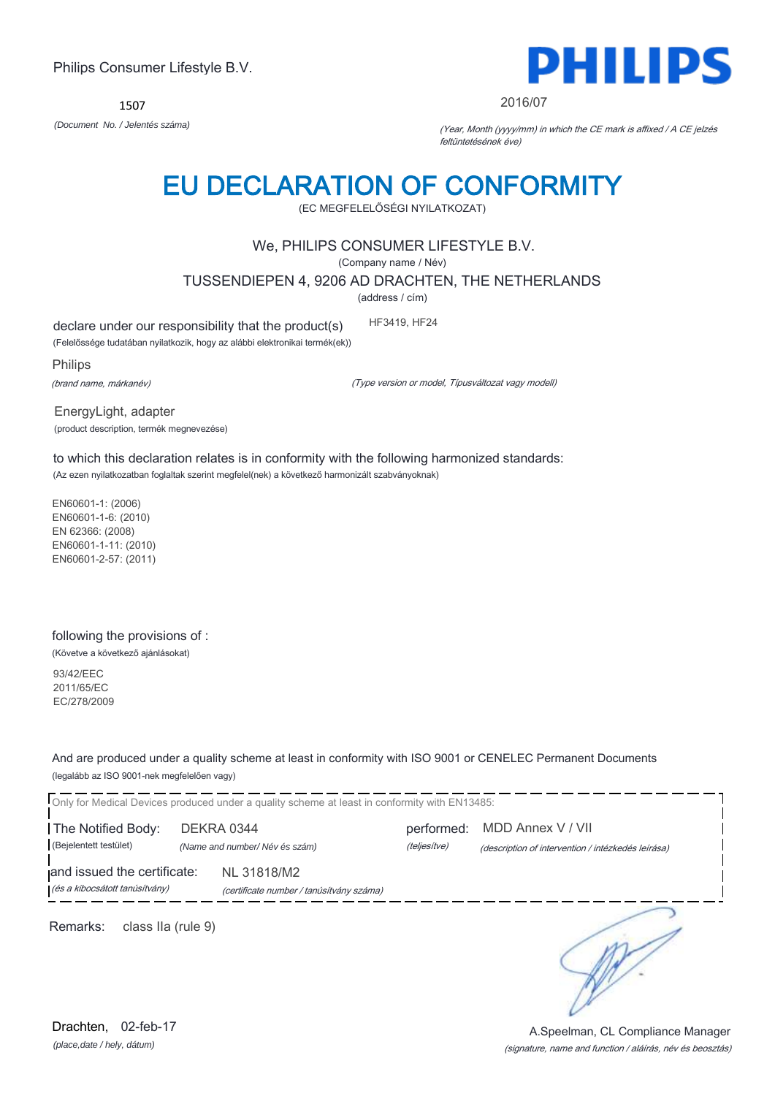(Type version or model, Típusváltozat vagy modell)

(product description, termék megnevezése) to which this declaration relates is in conformity with the following harmonized standards:

(Az ezen nyilatkozatban foglaltak szerint megfelel(nek) a következő harmonizált szabványoknak)

EN60601-1: (2006) EN60601-1-6: (2010) EN 62366: (2008) EN60601-1-11: (2010) EN60601-2-57: (2011)

### following the provisions of :

(Követve a következő ajánlásokat)

93/42/EEC 2011/65/EC EC/278/2009

And are produced under a quality scheme at least in conformity with ISO 9001 or CENELEC Permanent Documents (legalább az ISO 9001-nek megfelelően vagy)

| Only for Medical Devices produced under a quality scheme at least in conformity with EN13485:<br>The Notified Body:<br>(Bejelentett testület) |                    | DEKRA 0344<br>(Name and number/Név és szám)             | performed:<br>(teljesítve) | MDD Annex V / VII<br>(description of intervention / intézkedés leírása) |
|-----------------------------------------------------------------------------------------------------------------------------------------------|--------------------|---------------------------------------------------------|----------------------------|-------------------------------------------------------------------------|
| and issued the certificate:<br>(és a kibocsátott tanúsítvány)                                                                                 |                    | NL 31818/M2<br>(certificate number / tanúsítvány száma) |                            |                                                                         |
| Remarks:                                                                                                                                      | class IIa (rule 9) |                                                         |                            |                                                                         |

*(place,date / hely, dátum)* Drachten, 02-feb-17

## Philips Consumer Lifestyle B.V.

1507



#### 2016/07

*(Document No. / Jelentés száma)* (Year, Month (yyyy/mm) in which the CE mark is affixed / A CE jelzés feltüntetésének éve)

# EU DECLARATION OF CONFORMITY

(EC MEGFELELŐSÉGI NYILATKOZAT)

### We, PHILIPS CONSUMER LIFESTYLE B.V.

(Company name / Név)

TUSSENDIEPEN 4, 9206 AD DRACHTEN, THE NETHERLANDS

(address / cím)

declare under our responsibility that the product(s) HF3419, HF24

(Felelőssége tudatában nyilatkozik, hogy az alábbi elektronikai termék(ek))

Philips

(brand name, márkanév)

EnergyLight, adapter

(signature, name and function / aláírás, név és beosztás) A.Speelman, CL Compliance Manager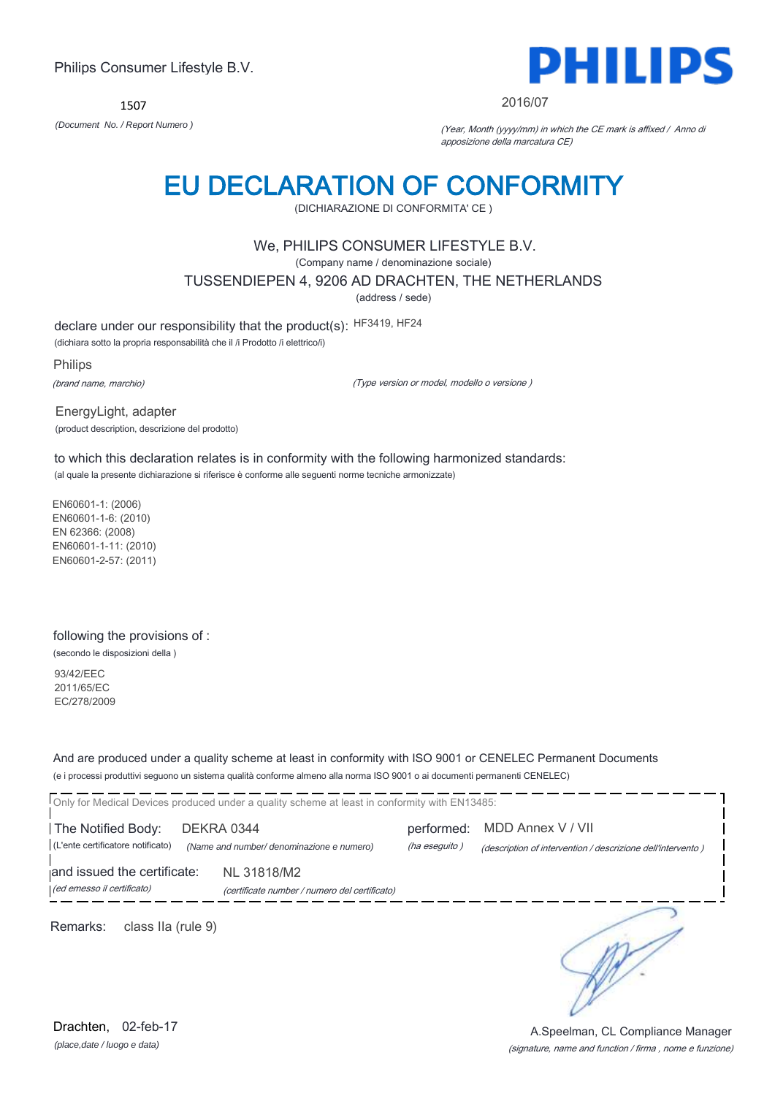1507



#### 2016/07

*(Document No. / Report Numero )* (Year, Month (yyyy/mm) in which the CE mark is affixed / Anno di apposizione della marcatura CE)

## EU DECLARATION OF CONFORMITY

(DICHIARAZIONE DI CONFORMITA' CE )

### We, PHILIPS CONSUMER LIFESTYLE B.V.

(Company name / denominazione sociale)

TUSSENDIEPEN 4, 9206 AD DRACHTEN, THE NETHERLANDS

(address / sede)

declare under our responsibility that the product(s): HF3419, HF24

(dichiara sotto la propria responsabilità che il /i Prodotto /i elettrico/i)

Philips (brand name, marchio)

(Type version or model, modello o versione )

EnergyLight, adapter (product description, descrizione del prodotto)

to which this declaration relates is in conformity with the following harmonized standards: (al quale la presente dichiarazione si riferisce è conforme alle seguenti norme tecniche armonizzate)

EN60601-1: (2006) EN60601-1-6: (2010) EN 62366: (2008) EN60601-1-11: (2010) EN60601-2-57: (2011)

#### following the provisions of :

(secondo le disposizioni della )

93/42/EEC 2011/65/EC EC/278/2009

And are produced under a quality scheme at least in conformity with ISO 9001 or CENELEC Permanent Documents (e i processi produttivi seguono un sistema qualità conforme almeno alla norma ISO 9001 o ai documenti permanenti CENELEC)

| Only for Medical Devices produced under a quality scheme at least in conformity with EN13485:                             |                             |                                                                                  |  |
|---------------------------------------------------------------------------------------------------------------------------|-----------------------------|----------------------------------------------------------------------------------|--|
| The Notified Body:<br>DEKRA 0344<br>(L'ente certificatore notificato)<br>(Name and number/ denominazione e numero)        | performed:<br>(ha eseguito) | MDD Annex V / VII<br>(description of intervention / descrizione dell'intervento) |  |
| and issued the certificate:<br>NL 31818/M2<br>(ed emesso il certificato)<br>(certificate number / numero del certificato) |                             |                                                                                  |  |
| Remarks:<br>class IIa (rule 9)                                                                                            |                             |                                                                                  |  |

*(place,date / luogo e data)* Drachten, 02-feb-17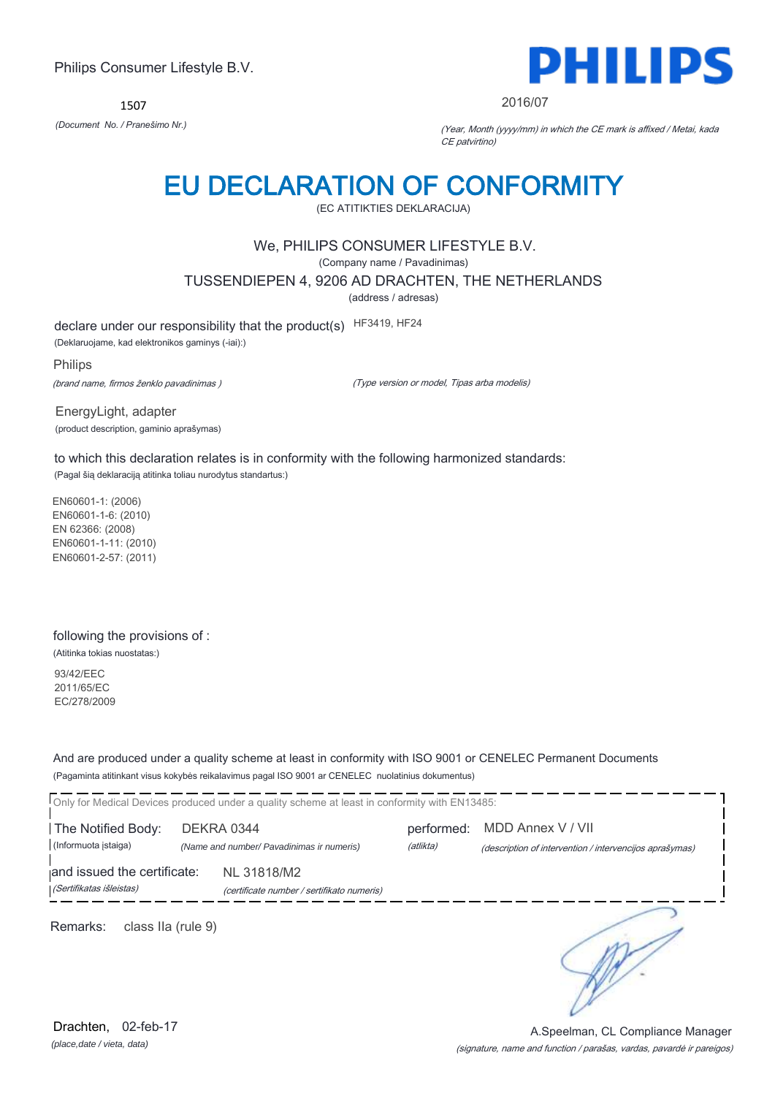1507



2016/07

*(Document No. / Pranešimo Nr.)* (Year, Month (yyyy/mm) in which the CE mark is affixed / Metai, kada CE patvirtino)

## EU DECLARATION OF CONFORMITY

(EC ATITIKTIES DEKLARACIJA)

### We, PHILIPS CONSUMER LIFESTYLE B.V.

(Company name / Pavadinimas)

TUSSENDIEPEN 4, 9206 AD DRACHTEN, THE NETHERLANDS

(address / adresas)

declare under our responsibility that the product(s) HF3419, HF24

(Deklaruojame, kad elektronikos gaminys (-iai):)

Philips (brand name, firmos ženklo pavadinimas )

(Type version or model, Tipas arba modelis)

EnergyLight, adapter (product description, gaminio aprašymas)

to which this declaration relates is in conformity with the following harmonized standards: (Pagal šią deklaraciją atitinka toliau nurodytus standartus:)

EN60601-1: (2006) EN60601-1-6: (2010) EN 62366: (2008) EN60601-1-11: (2010) EN60601-2-57: (2011)

### following the provisions of :

(Atitinka tokias nuostatas:)

93/42/EEC 2011/65/EC EC/278/2009

And are produced under a quality scheme at least in conformity with ISO 9001 or CENELEC Permanent Documents (Pagaminta atitinkant visus kokybės reikalavimus pagal ISO 9001 ar CENELEC nuolatinius dokumentus)

|                                                         |  | Only for Medical Devices produced under a quality scheme at least in conformity with EN13485: |                         |                                                                              |
|---------------------------------------------------------|--|-----------------------------------------------------------------------------------------------|-------------------------|------------------------------------------------------------------------------|
| The Notified Body:<br>(Informuota istaiga)              |  | DEKRA 0344<br>(Name and number/ Pavadinimas ir numeris)                                       | performed:<br>(atlikta) | MDD Annex V / VII<br>(description of intervention / intervencijos aprašymas) |
| and issued the certificate:<br>(Sertifikatas išleistas) |  | NL 31818/M2<br>(certificate number / sertifikato numeris)                                     |                         |                                                                              |
| Remarks:<br>class IIa (rule 9)                          |  |                                                                                               |                         |                                                                              |

*(place,date / vieta, data)* Drachten, 02-feb-17

#### (signature, name and function / parašas, vardas, pavardė ir pareigos) A.Speelman, CL Compliance Manager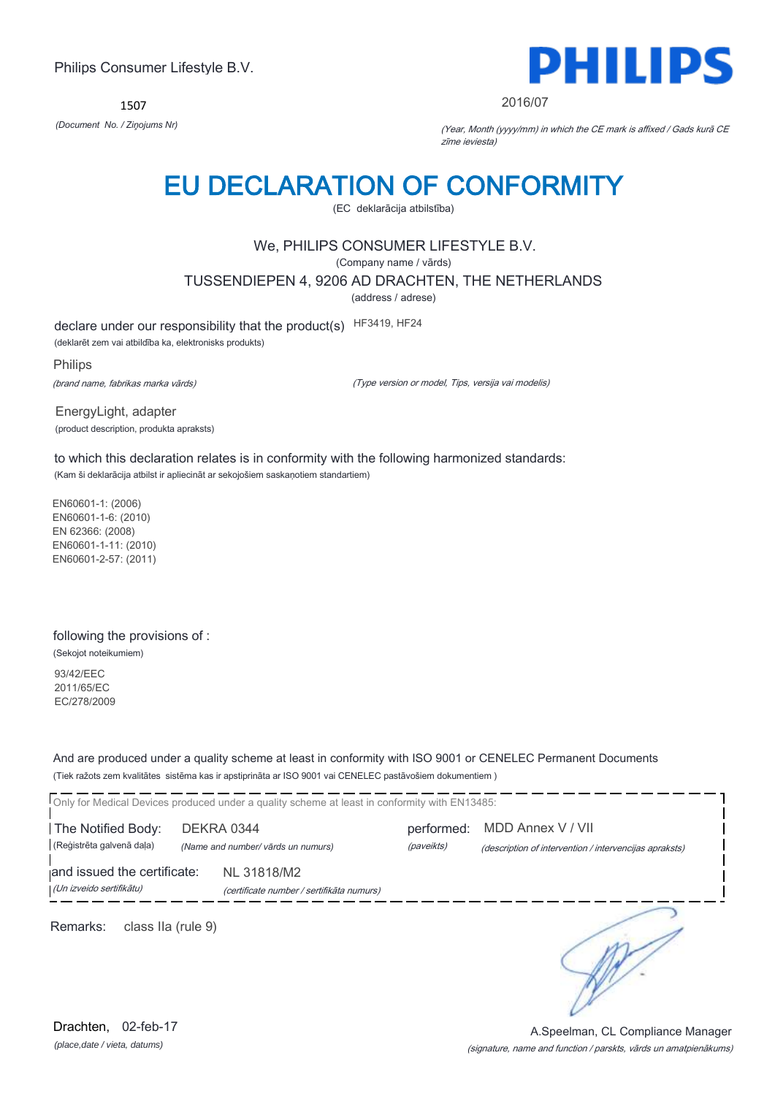1507



2016/07

*(Document No. / Ziņojums Nr)* (Year, Month (yyyy/mm) in which the CE mark is affixed / Gads kurā CE zīme ieviesta)

## EU DECLARATION OF CONFORMITY

(EC deklarācija atbilstība)

## We, PHILIPS CONSUMER LIFESTYLE B.V.

(Company name / vārds)

TUSSENDIEPEN 4, 9206 AD DRACHTEN, THE NETHERLANDS

(address / adrese)

declare under our responsibility that the product(s) HF3419, HF24

(deklarēt zem vai atbildība ka, elektronisks produkts)

Philips (brand name, fabrikas marka vārds)

(Type version or model, Tips, versija vai modelis)

EnergyLight, adapter (product description, produkta apraksts)

to which this declaration relates is in conformity with the following harmonized standards: (Kam ši deklarācija atbilst ir apliecināt ar sekojošiem saskaņotiem standartiem)

EN60601-1: (2006) EN60601-1-6: (2010) EN 62366: (2008) EN60601-1-11: (2010) EN60601-2-57: (2011)

#### following the provisions of :

(Sekojot noteikumiem)

93/42/EEC 2011/65/EC EC/278/2009

And are produced under a quality scheme at least in conformity with ISO 9001 or CENELEC Permanent Documents (Tiek ražots zem kvalitātes sistēma kas ir apstiprināta ar ISO 9001 vai CENELEC pastāvošiem dokumentiem )

|                                | Only for Medical Devices produced under a quality scheme at least in conformity with EN13485: |            |                                                        |
|--------------------------------|-----------------------------------------------------------------------------------------------|------------|--------------------------------------------------------|
| The Notified Body:             | DEKRA 0344                                                                                    | performed: | MDD Annex V / VII                                      |
| (Reģistrēta galvenā daļa)      | (Name and number/ vārds un numurs)                                                            | (paveikts) | (description of intervention / intervencijas apraksts) |
| and issued the certificate:    | NL 31818/M2                                                                                   |            |                                                        |
| (Un izveido sertifikātu)       | (certificate number / sertifikāta numurs)                                                     |            |                                                        |
| Remarks:<br>class IIa (rule 9) |                                                                                               |            |                                                        |

*(place,date / vieta, datums)* Drachten, 02-feb-17

#### (signature, name and function / parskts, vārds un amatpienākums) A.Speelman, CL Compliance Manager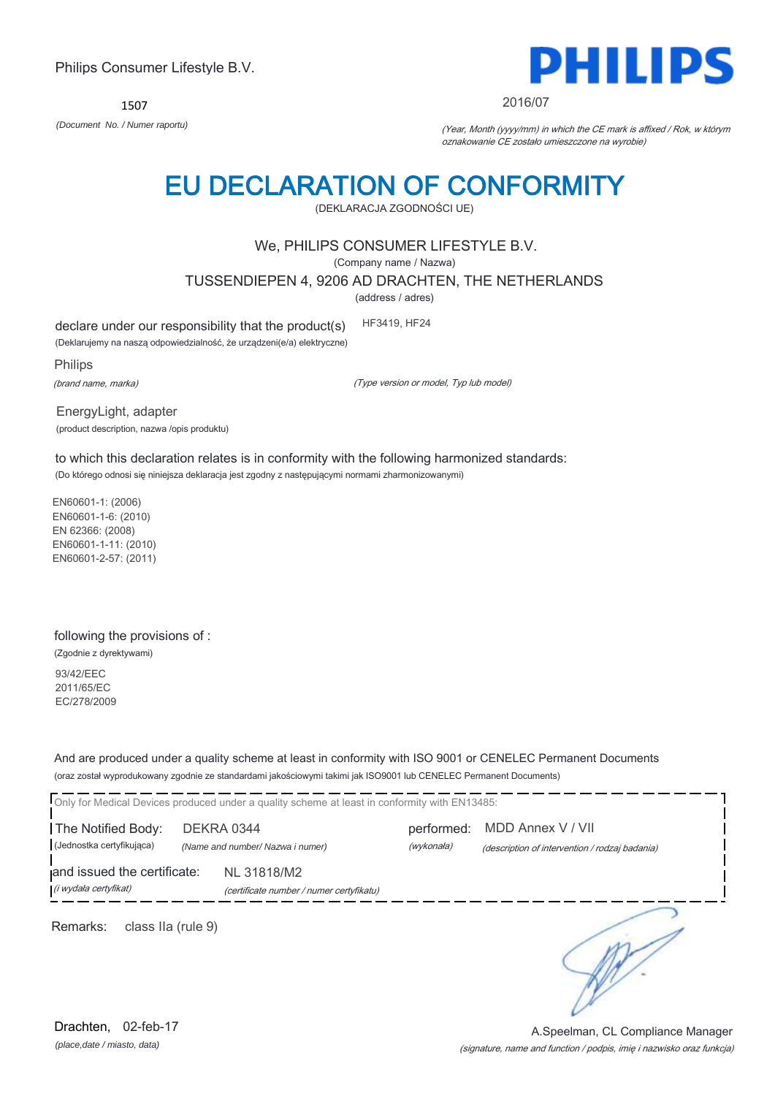1507



2016/07

*(Document No. / Numer raportu)* (Year, Month (yyyy/mm) in which the CE mark is affixed / Rok, w którym oznakowanie CE zostało umieszczone na wyrobie)

# EU DECLARATION OF CONFORMITY

(DEKLARACJA ZGODNOŚCI UE)

### We, PHILIPS CONSUMER LIFESTYLE B.V.

(Company name / Nazwa)

TUSSENDIEPEN 4, 9206 AD DRACHTEN, THE NETHERLANDS

(address / adres)

declare under our responsibility that the product(s) HF3419, HF24

(Deklarujemy na naszą odpowiedzialność, że urządzeni(e/a) elektryczne)

Philips

(brand name, marka)

(Type version or model, Typ lub model)

EnergyLight, adapter (product description, nazwa /opis produktu)

to which this declaration relates is in conformity with the following harmonized standards: (Do którego odnosi się niniejsza deklaracja jest zgodny z następującymi normami zharmonizowanymi)

EN60601-1: (2006) EN60601-1-6: (2010) EN 62366: (2008) EN60601-1-11: (2010) EN60601-2-57: (2011)

### following the provisions of :

(Zgodnie z dyrektywami)

93/42/EEC 2011/65/EC EC/278/2009

And are produced under a quality scheme at least in conformity with ISO 9001 or CENELEC Permanent Documents (oraz został wyprodukowany zgodnie ze standardami jakościowymi takimi jak ISO9001 lub CENELEC Permanent Documents)

Only for Medical Devices produced under a quality scheme at least in conformity with EN13485: The Notified Body: DEKRA 0344 performed: MDD Annex V / VII (Jednostka certyfikująca) *(Name and number/ Nazwa i numer)* (wykonała) (description of intervention / rodzaj badania) and issued the certificate: NL 31818/M2 (i wydała certyfikat) (certificate number / numer certyfikatu) ∍ Remarks: class IIa (rule 9)

*(place,date / miasto, data)* Drachten, 02-feb-17

#### (signature, name and function / podpis, imię i nazwisko oraz funkcja) A.Speelman, CL Compliance Manager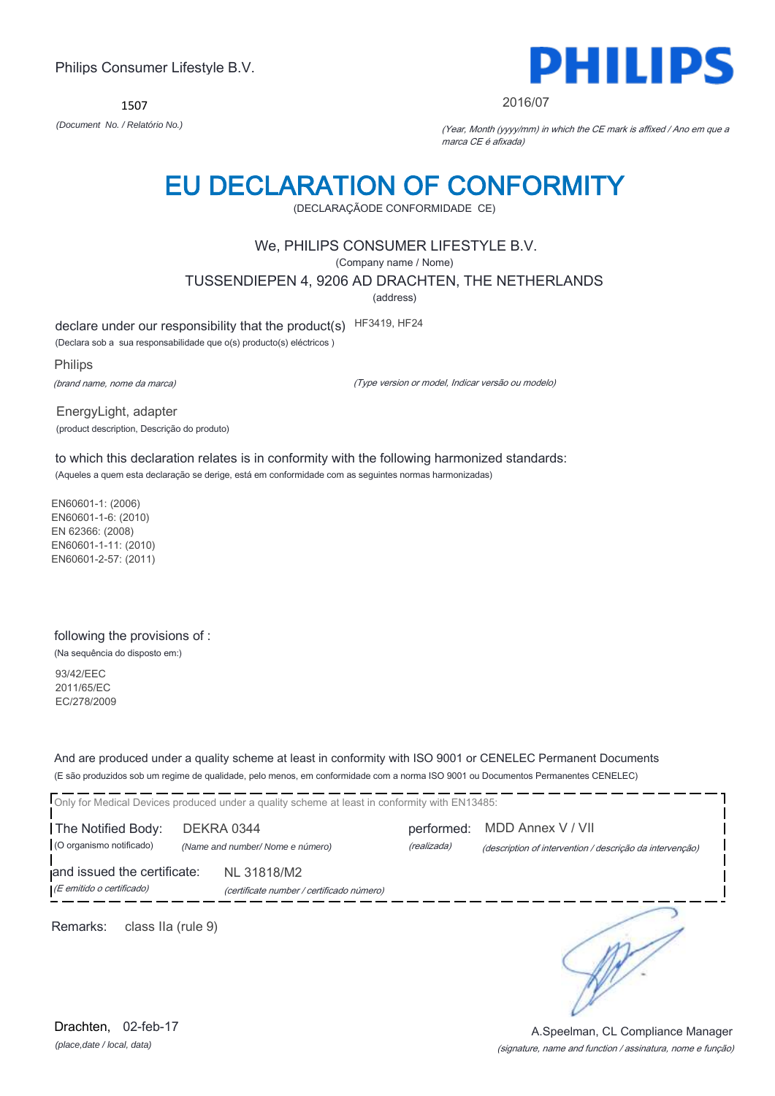1507



#### 2016/07

*(Document No. / Relatório No.)* (Year, Month (yyyy/mm) in which the CE mark is affixed / Ano em que a marca CE é afixada)

## EU DECLARATION OF CONFORMITY

(DECLARAÇÃODE CONFORMIDADE CE)

### We, PHILIPS CONSUMER LIFESTYLE B.V.

(Company name / Nome)

TUSSENDIEPEN 4, 9206 AD DRACHTEN, THE NETHERLANDS

(address)

declare under our responsibility that the product(s) HF3419, HF24

(Declara sob a sua responsabilidade que o(s) producto(s) eléctricos )

Philips (brand name, nome da marca)

(Type version or model, Indicar versão ou modelo)

EnergyLight, adapter (product description, Descrição do produto)

to which this declaration relates is in conformity with the following harmonized standards: (Aqueles a quem esta declaração se derige, está em conformidade com as seguintes normas harmonizadas)

EN60601-1: (2006) EN60601-1-6: (2010) EN 62366: (2008) EN60601-1-11: (2010) EN60601-2-57: (2011)

### following the provisions of :

(Na sequência do disposto em:)

93/42/EEC 2011/65/EC EC/278/2009

And are produced under a quality scheme at least in conformity with ISO 9001 or CENELEC Permanent Documents (E são produzidos sob um regime de qualidade, pelo menos, em conformidade com a norma ISO 9001 ou Documentos Permanentes CENELEC)

Only for Medical Devices produced under a quality scheme at least in conformity with EN13485: The Notified Body: DEKRA 0344 performed: MDD Annex V / VII (O organismo notificado) *(Name and number/ Nome e número)* (realizada) (description of intervention / descrição da intervenção) and issued the certificate: NL 31818/M2 (E emitido o certificado) (certificate number / certificado número) ╮ Remarks: class IIa (rule 9)

*(place,date / local, data)* Drachten, 02-feb-17

#### (signature, name and function / assinatura, nome e função) A.Speelman, CL Compliance Manager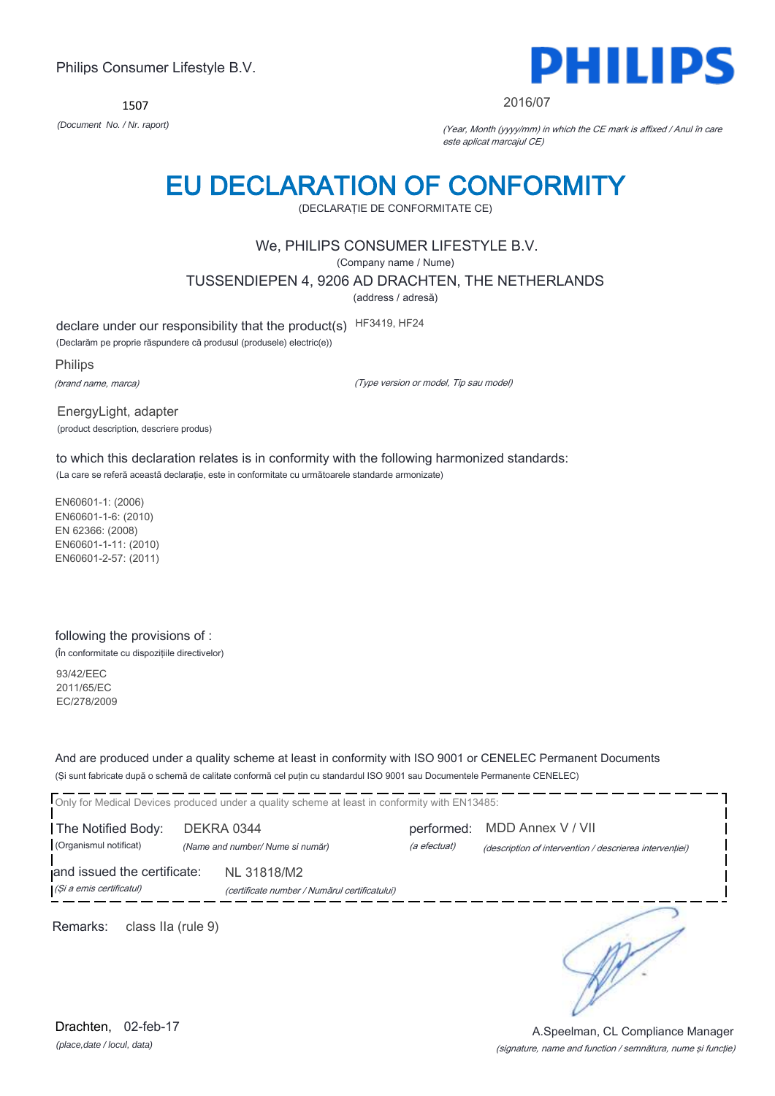1507



#### 2016/07

*(Document No. / Nr. raport)* (Year, Month (yyyy/mm) in which the CE mark is affixed / Anul în care este aplicat marcajul CE)

## EU DECLARATION OF CONFORMITY

(DECLARAŢIE DE CONFORMITATE CE)

### We, PHILIPS CONSUMER LIFESTYLE B.V.

(Company name / Nume)

TUSSENDIEPEN 4, 9206 AD DRACHTEN, THE NETHERLANDS

(address / adresă)

declare under our responsibility that the product(s) HF3419, HF24

(Declarăm pe proprie răspundere că produsul (produsele) electric(e))

Philips

(brand name, marca)

(Type version or model, Tip sau model)

EnergyLight, adapter (product description, descriere produs)

to which this declaration relates is in conformity with the following harmonized standards: (La care se referă această declaraţie, este in conformitate cu următoarele standarde armonizate)

EN60601-1: (2006) EN60601-1-6: (2010) EN 62366: (2008) EN60601-1-11: (2010) EN60601-2-57: (2011)

#### following the provisions of :

(În conformitate cu dispoziţiile directivelor)

93/42/EEC 2011/65/EC EC/278/2009

And are produced under a quality scheme at least in conformity with ISO 9001 or CENELEC Permanent Documents (Şi sunt fabricate după o schemă de calitate conformă cel puţin cu standardul ISO 9001 sau Documentele Permanente CENELEC)

Only for Medical Devices produced under a quality scheme at least in conformity with EN13485: The Notified Body: DEKRA 0344 performed: MDD Annex V / VII (Organismul notificat) *(Name and number/ Nume si număr)* (a efectuat) (description of intervention / descrierea intervenţiei) and issued the certificate: NL 31818/M2 (Şi a emis certificatul) (certificate number / Numărul certificatului) ∋ Remarks: class IIa (rule 9)

*(place,date / locul, data)* Drachten, 02-feb-17

#### (signature, name and function / semnătura, nume şi funcţie) A.Speelman, CL Compliance Manager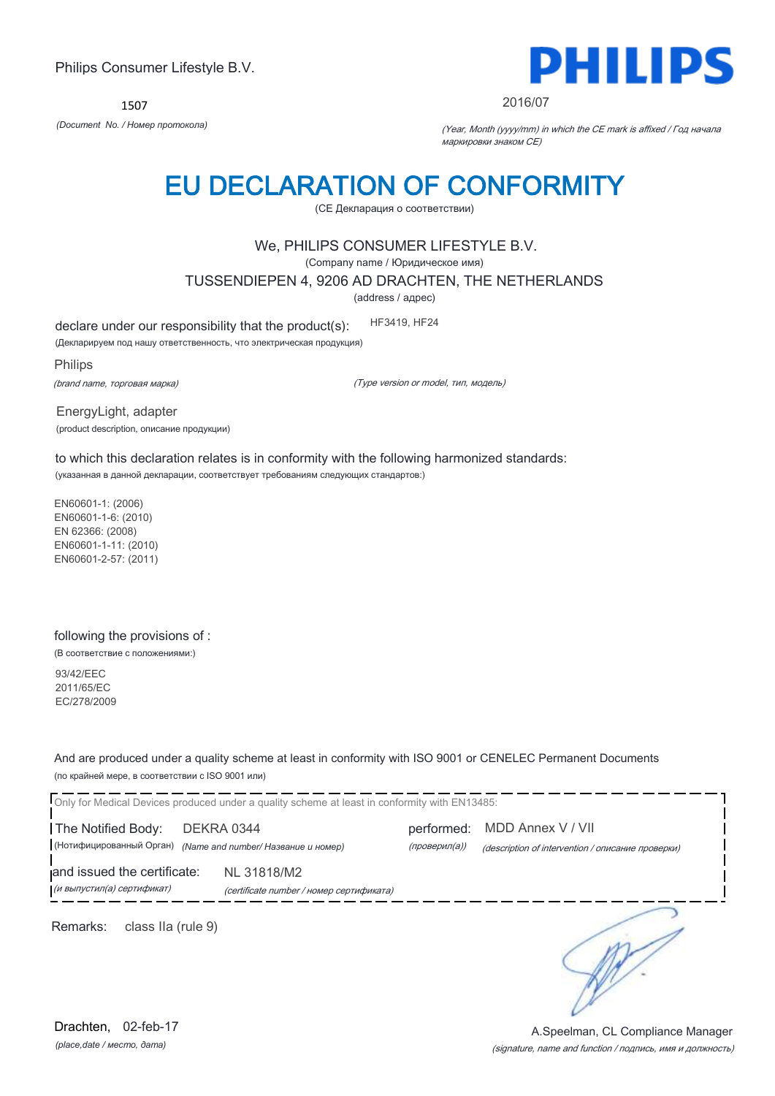1507



#### 2016/07

*(Document No. / Номер протокола)* (Year, Month (yyyy/mm) in which the CE mark is affixed / Год начала маркировки знаком CE)

## EU DECLARATION OF CONFORMITY

(CE Декларация о соответствии)

### We, PHILIPS CONSUMER LIFESTYLE B.V.

(Company name / Юридическое имя)

TUSSENDIEPEN 4, 9206 AD DRACHTEN, THE NETHERLANDS

(address / адрес)

declare under our responsibility that the product(s): HF3419, HF24

(Декларируем под нашу ответственность, что электрическая продукция)

Philips (brand name, торговая марка)

(Type version or model, тип, модель)

EnergyLight, adapter (product description, описание продукции)

to which this declaration relates is in conformity with the following harmonized standards: (указанная в данной декларации, соответствует требованиям следующих стандартов:)

EN60601-1: (2006) EN60601-1-6: (2010) EN 62366: (2008) EN60601-1-11: (2010) EN60601-2-57: (2011)

#### following the provisions of :

(В соответствие с положениями:)

93/42/EEC 2011/65/EC EC/278/2009

And are produced under a quality scheme at least in conformity with ISO 9001 or CENELEC Permanent Documents (по крайней мере, в соответствии с ISO 9001 или)

|                                                           | Only for Medical Devices produced under a quality scheme at least in conformity with EN13485: |               |                                                   |
|-----------------------------------------------------------|-----------------------------------------------------------------------------------------------|---------------|---------------------------------------------------|
| The Notified Body:                                        | DEKRA 0344                                                                                    | performed:    | MDD Annex V / VII                                 |
| (Нотифицированный Орган)                                  | (Name and number/ Название и номер)                                                           | (проверил(а)) | (description of intervention / описание проверки) |
| and issued the certificate:<br>(и выпустил(а) сертификат) | NL 31818/M2<br>(certificate number / номер сертификата)                                       |               |                                                   |
| Remarks:<br>class IIa (rule 9)                            |                                                                                               |               |                                                   |

*(place,date / место, дата)* Drachten, 02-feb-17

#### (signature, name and function / подпись, имя и должность) A.Speelman, CL Compliance Manager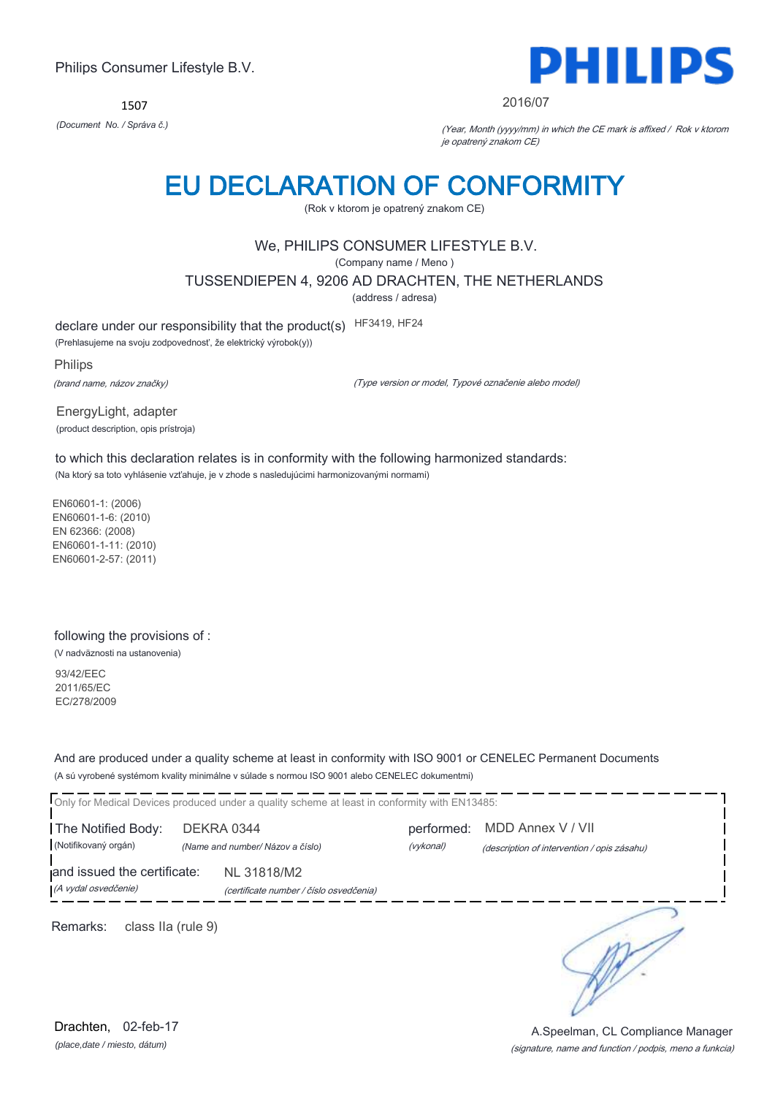1507



#### 2016/07

*(Document No. / Správa č.)* (Year, Month (yyyy/mm) in which the CE mark is affixed / Rok v ktorom je opatrený znakom CE)

## EU DECLARATION OF CONFORMITY

(Rok v ktorom je opatrený znakom CE)

### We, PHILIPS CONSUMER LIFESTYLE B.V.

(Company name / Meno )

TUSSENDIEPEN 4, 9206 AD DRACHTEN, THE NETHERLANDS

(address / adresa)

declare under our responsibility that the product(s) HF3419, HF24

(Prehlasujeme na svoju zodpovednosť, že elektrický výrobok(y))

Philips (brand name, názov značky)

(Type version or model, Typové označenie alebo model)

EnergyLight, adapter (product description, opis prístroja)

to which this declaration relates is in conformity with the following harmonized standards: (Na ktorý sa toto vyhlásenie vzťahuje, je v zhode s nasledujúcimi harmonizovanými normami)

EN60601-1: (2006) EN60601-1-6: (2010) EN 62366: (2008) EN60601-1-11: (2010) EN60601-2-57: (2011)

#### following the provisions of :

(V nadväznosti na ustanovenia)

93/42/EEC 2011/65/EC EC/278/2009

And are produced under a quality scheme at least in conformity with ISO 9001 or CENELEC Permanent Documents (A sú vyrobené systémom kvality minimálne v súlade s normou ISO 9001 alebo CENELEC dokumentmi)

Only for Medical Devices produced under a quality scheme at least in conformity with EN13485: The Notified Body: DEKRA 0344 performed: MDD Annex V / VII (Notifikovaný orgán) *(Name and number/ Názov a číslo)* (vykonal) (description of intervention / opis zásahu) and issued the certificate: NL 31818/M2 (A vydal osvedčenie) (certificate number / číslo osvedčenia) ∍ Remarks: class IIa (rule 9)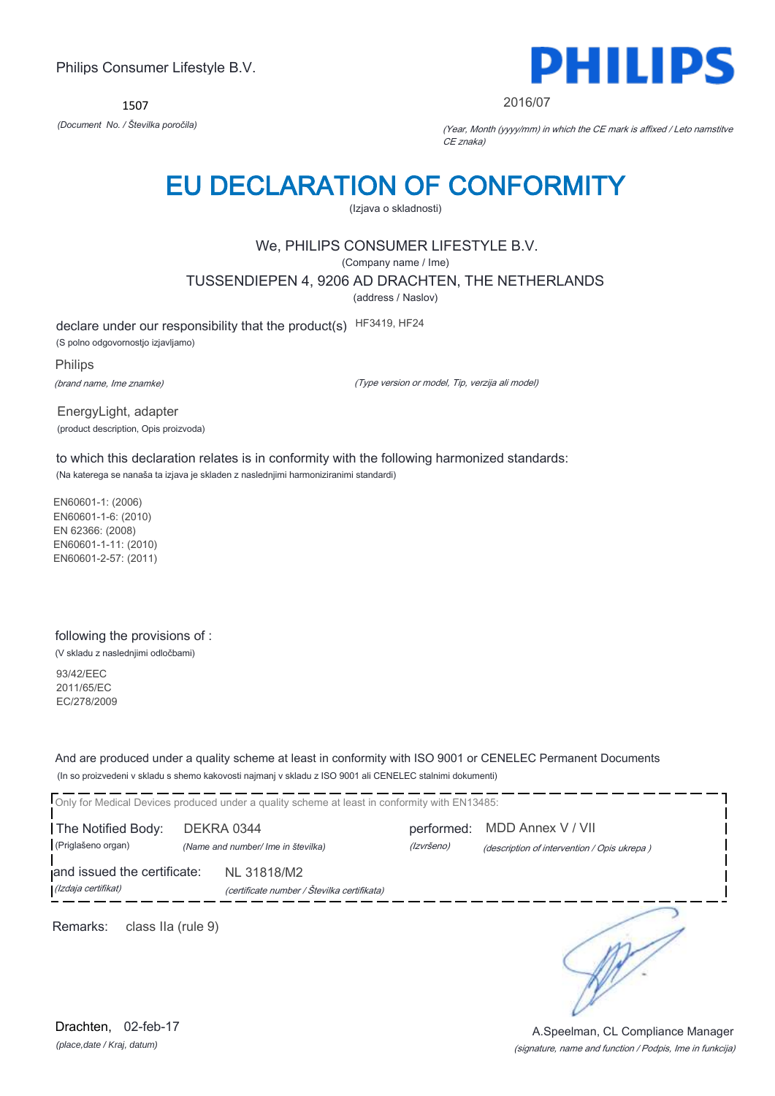1507



2016/07

*(Document No. / Številka poročila)* (Year, Month (yyyy/mm) in which the CE mark is affixed / Leto namstitve CE znaka)

## EU DECLARATION OF CONFORMITY

(Izjava o skladnosti)

## We, PHILIPS CONSUMER LIFESTYLE B.V.

(Company name / Ime)

TUSSENDIEPEN 4, 9206 AD DRACHTEN, THE NETHERLANDS

(address / Naslov)

declare under our responsibility that the product(s) HF3419, HF24

(S polno odgovornostjo izjavljamo)

Philips (brand name, Ime znamke)

(Type version or model, Tip, verzija ali model)

EnergyLight, adapter (product description, Opis proizvoda)

to which this declaration relates is in conformity with the following harmonized standards: (Na katerega se nanaša ta izjava je skladen z naslednjimi harmoniziranimi standardi)

EN60601-1: (2006) EN60601-1-6: (2010) EN 62366: (2008) EN60601-1-11: (2010) EN60601-2-57: (2011)

### following the provisions of :

(V skladu z naslednjimi odločbami)

93/42/EEC 2011/65/EC EC/278/2009

And are produced under a quality scheme at least in conformity with ISO 9001 or CENELEC Permanent Documents (In so proizvedeni v skladu s shemo kakovosti najmanj v skladu z ISO 9001 ali CENELEC stalnimi dokumenti)

Only for Medical Devices produced under a quality scheme at least in conformity with EN13485: The Notified Body: DEKRA 0344 performed: MDD Annex V / VII (Priglašeno organ) *(Name and number/ Ime in številka)* (Izvršeno) (description of intervention / Opis ukrepa ) and issued the certificate: NL 31818/M2 (Izdaja certifikat) (certificate number / Številka certifikata) ∋ Remarks: class IIa (rule 9)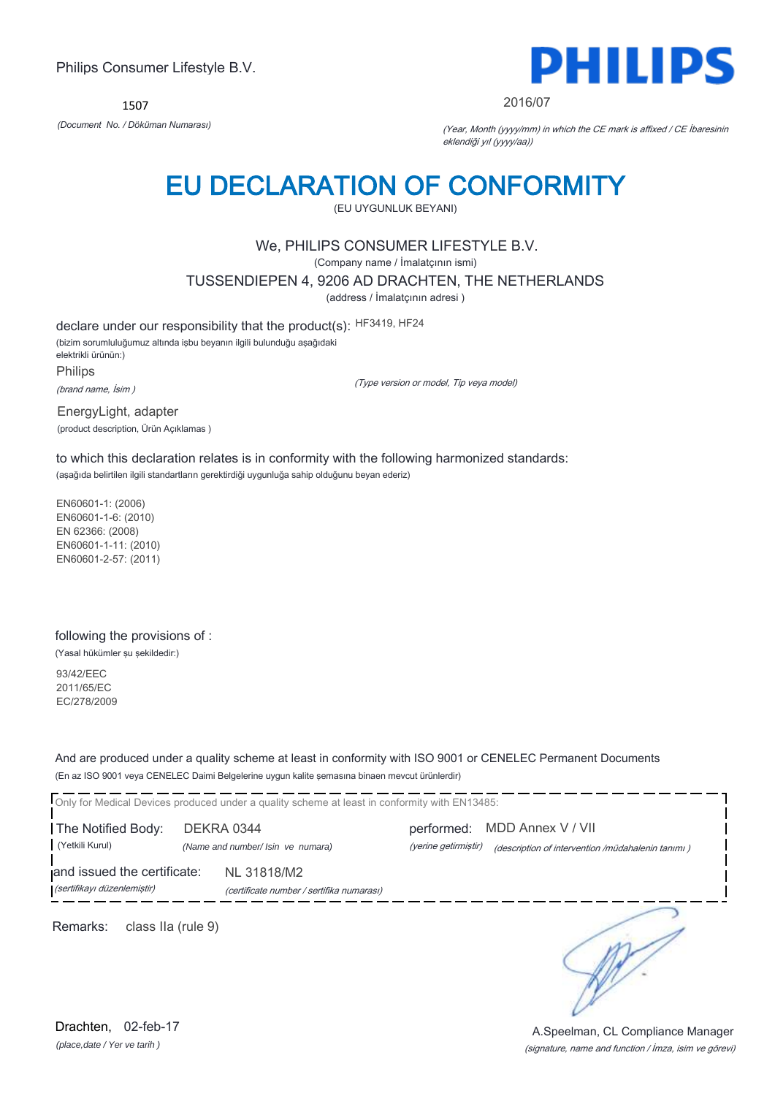1507



#### 2016/07

*(Document No. / Döküman Numarası)* (Year, Month (yyyy/mm) in which the CE mark is affixed / CE İbaresinin eklendiği yıl (yyyy/aa))

## EU DECLARATION OF CONFORMITY

(EU UYGUNLUK BEYANI)

### We, PHILIPS CONSUMER LIFESTYLE B.V.

(Company name / İmalatçının ismi)

TUSSENDIEPEN 4, 9206 AD DRACHTEN, THE NETHERLANDS

(address / İmalatçının adresi )

declare under our responsibility that the product(s): HF3419, HF24

(bizim sorumluluğumuz altında işbu beyanın ilgili bulunduğu aşağıdaki elektrikli ürünün:) Philips

(brand name, İsim )

(Type version or model, Tip veya model)

EnergyLight, adapter (product description, Ürün Açıklamas )

to which this declaration relates is in conformity with the following harmonized standards: (aşağıda belirtilen ilgili standartların gerektirdiği uygunluğa sahip olduğunu beyan ederiz)

EN60601-1: (2006) EN60601-1-6: (2010) EN 62366: (2008) EN60601-1-11: (2010) EN60601-2-57: (2011)

#### following the provisions of :

(Yasal hükümler şu şekildedir:)

93/42/EEC 2011/65/EC EC/278/2009

And are produced under a quality scheme at least in conformity with ISO 9001 or CENELEC Permanent Documents (En az ISO 9001 veya CENELEC Daimi Belgelerine uygun kalite şemasına binaen mevcut ürünlerdir)

Only for Medical Devices produced under a quality scheme at least in conformity with EN13485:

The Notified Body: DEKRA 0344 performed: MDD Annex V / VII

(Yetkili Kurul) *(Name and number/ Isin ve numara)* (yerine getirmiştir) (description of intervention /müdahalenin tanımı )

and issued the certificate: NL 31818/M2 (sertifikayı düzenlemiştir) (certificate number / sertifika numarası)

Remarks: class IIa (rule 9)

∋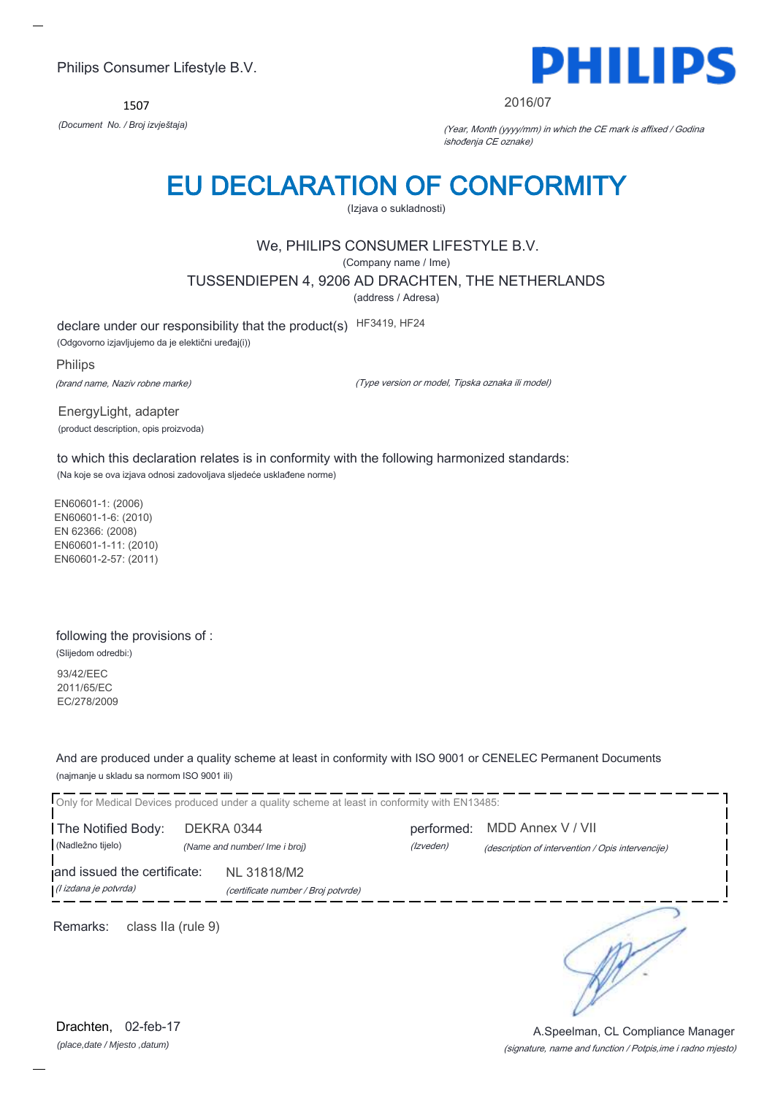1507



#### 2016/07

*(Document No. / Broj izvještaja)* (Year, Month (yyyy/mm) in which the CE mark is affixed / Godina ishođenja CE oznake)

## EU DECLARATION OF CONFORMITY

(Izjava o sukladnosti)

### We, PHILIPS CONSUMER LIFESTYLE B.V.

(Company name / Ime)

TUSSENDIEPEN 4, 9206 AD DRACHTEN, THE NETHERLANDS

(address / Adresa)

declare under our responsibility that the product(s) HF3419, HF24

(Odgovorno izjavljujemo da je elektični uređaj(i))

Philips (brand name, Naziv robne marke)

(Type version or model, Tipska oznaka ili model)

EnergyLight, adapter (product description, opis proizvoda)

to which this declaration relates is in conformity with the following harmonized standards: (Na koje se ova izjava odnosi zadovoljava sljedeće usklađene norme)

EN60601-1: (2006) EN60601-1-6: (2010) EN 62366: (2008) EN60601-1-11: (2010) EN60601-2-57: (2011)

#### following the provisions of :

(Slijedom odredbi:) 93/42/EEC 2011/65/EC EC/278/2009

And are produced under a quality scheme at least in conformity with ISO 9001 or CENELEC Permanent Documents (najmanje u skladu sa normom ISO 9001 ili)

Only for Medical Devices produced under a quality scheme at least in conformity with EN13485: The Notified Body: DEKRA 0344 performed: MDD Annex V / VII (Nadležno tijelo) *(Name and number/ Ime i broj)* (Izveden) (description of intervention / Opis intervencije) and issued the certificate: NL 31818/M2 (I izdana je potvrda) (certificate number / Broj potvrde) ∍

Remarks: class IIa (rule 9)

*(place,date / Mjesto ,datum)* Drachten, 02-feb-17

(signature, name and function / Potpis,ime i radno mjesto) A.Speelman, CL Compliance Manager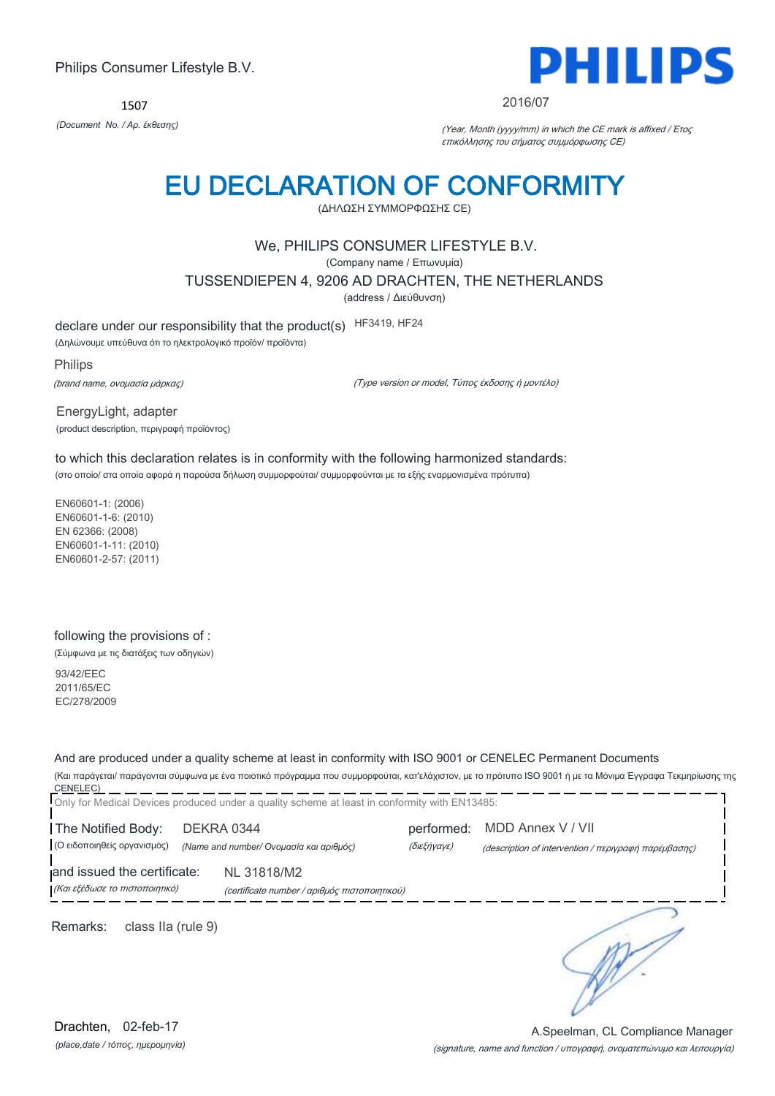1507



#### 2016/07

*(Document No. / Αρ. έκθεσης)* (Year, Month (yyyy/mm) in which the CE mark is affixed / Έτος επικόλλησης του σήματος συμμόρφωσης CE)

## EU DECLARATION OF CONFORMITY

(ΔΗΛΩΣΗ ΣΥΜΜΟΡΦΩΣΗΣ CE)

### We, PHILIPS CONSUMER LIFESTYLE B.V.

(Company name / Επωνυμία)

TUSSENDIEPEN 4, 9206 AD DRACHTEN, THE NETHERLANDS

(address / Διεύθυνση)

declare under our responsibility that the product(s) HF3419, HF24

(Δηλώνουμε υπεύθυνα ότι το ηλεκτρολογικό προϊόν/ προϊόντα)

Philips (brand name, ονομασία μάρκας)

(Type version or model, Τύπος έκδοσης ή μοντέλο)

EnergyLight, adapter (product description, περιγραφή προϊόντος)

to which this declaration relates is in conformity with the following harmonized standards: (στο οποίο/ στα οποία αφορά η παρούσα δήλωση συμμορφούται/ συμμορφούνται με τα εξής εναρμονισμένα πρότυπα)

EN60601-1: (2006) EN60601-1-6: (2010) EN 62366: (2008) EN60601-1-11: (2010) EN60601-2-57: (2011)

#### following the provisions of :

(Σύμφωνα με τις διατάξεις των οδηγιών)

93/42/EEC 2011/65/EC EC/278/2009

And are produced under a quality scheme at least in conformity with ISO 9001 or CENELEC Permanent Documents (Και παράγεται/ παράγονται σύμφωνα με ένα ποιοτικό πρόγραμμα που συμμορφούται, κατ'ελάχιστον, με το πρότυπο ISO 9001 ή με τα Μόνιμα Έγγραφα Τεκμηρίωσης της

CENELEC) Only for Medical Devices produced under a quality scheme at least in conformity with EN13485: The Notified Body: DEKRA 0344 performed: MDD Annex V / VII (Ο ειδοποιηθείς οργανισμός) *(Name and number/ Ονομασία και αριθμός)* (διεξήγαγε) (description of intervention / περιγραφή παρέμβασης) and issued the certificate: NL 31818/M2 (Και εξέδωσε το πιστοποιητικό) (certificate number / αριθμός πιστοποιητικού) ╮ Remarks: class IIa (rule 9)

*(place,date / τόπος, ημερομηνία)* Drachten, 02-feb-17

(signature, name and function / υπογραφή, ονοματεπώνυμο και λειτουργία) A.Speelman, CL Compliance Manager